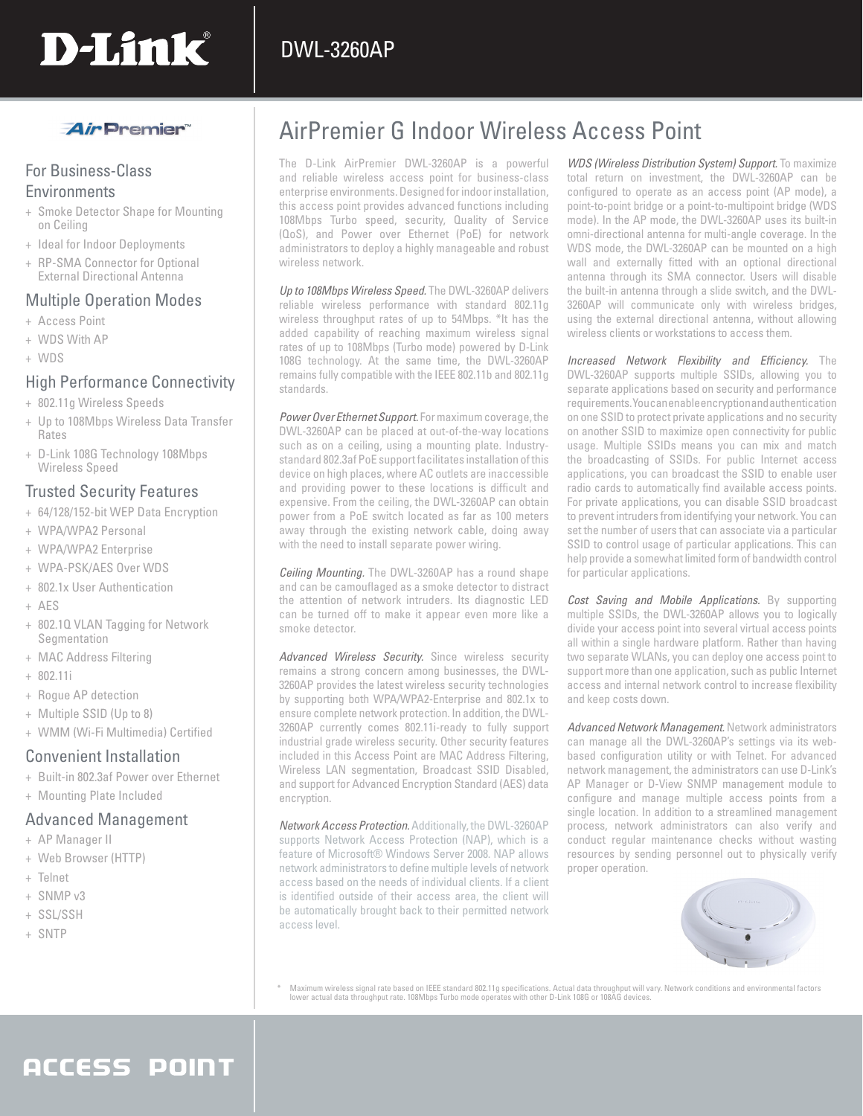

## *Air* Premier

## For Business-Class **Environments**

- + Smoke Detector Shape for Mounting on Ceiling
- + Ideal for Indoor Deployments
- + RP-SMA Connector for Optional External Directional Antenna

### Multiple Operation Modes

- + Access Point
- + WDS With AP
- + WDS

## High Performance Connectivity

- + 802.11g Wireless Speeds
- + Up to 108Mbps Wireless Data Transfer Rates
- + D-Link 108G Technology 108Mbps Wireless Speed

## Trusted Security Features

- + 64/128/152-bit WEP Data Encryption
- + WPA/WPA2 Personal
- + WPA/WPA2 Enterprise
- + WPA-PSK/AES Over WDS
- + 802.1x User Authentication
- + AES
- + 802.1Q VLAN Tagging for Network Segmentation
- + MAC Address Filtering
- + 802.11i
- + Rogue AP detection
- + Multiple SSID (Up to 8)
- + WMM (Wi-Fi Multimedia) Certified

### Convenient Installation

- + Built-in 802.3af Power over Ethernet
- + Mounting Plate Included

### Advanced Management

- + AP Manager II
- + Web Browser (HTTP)
- + Telnet
- + SNMP v3
- + SSL/SSH
- + SNTP

## AirPremier G Indoor Wireless Access Point

The D-Link AirPremier DWL-3260AP is a powerful and reliable wireless access point for business-class enterprise environments. Designed for indoor installation, this access point provides advanced functions including 108Mbps Turbo speed, security, Quality of Service (QoS), and Power over Ethernet (PoE) for network administrators to deploy a highly manageable and robust wireless network.

*Up to 108Mbps Wireless Speed.* The DWL-3260AP delivers reliable wireless performance with standard 802.11g wireless throughput rates of up to 54Mbps. \*It has the added capability of reaching maximum wireless signal rates of up to 108Mbps (Turbo mode) powered by D-Link 108G technology. At the same time, the DWL-3260AP remains fully compatible with the IEEE 802.11b and 802.11g standards.

*Power Over Ethernet Support.* For maximum coverage, the DWL-3260AP can be placed at out-of-the-way locations such as on a ceiling, using a mounting plate. Industrystandard 802.3af PoE support facilitates installation of this device on high places, where AC outlets are inaccessible and providing power to these locations is difficult and expensive. From the ceiling, the DWL-3260AP can obtain power from a PoE switch located as far as 100 meters away through the existing network cable, doing away with the need to install separate power wiring.

*Ceiling Mounting.* The DWL-3260AP has a round shape and can be camouflaged as a smoke detector to distract the attention of network intruders. Its diagnostic LED can be turned off to make it appear even more like a smoke detector.

*Advanced Wireless Security.* Since wireless security remains a strong concern among businesses, the DWL-3260AP provides the latest wireless security technologies by supporting both WPA/WPA2-Enterprise and 802.1x to ensure complete network protection. In addition, the DWL-3260AP currently comes 802.11i-ready to fully support industrial grade wireless security. Other security features included in this Access Point are MAC Address Filtering, Wireless LAN segmentation, Broadcast SSID Disabled, and support for Advanced Encryption Standard (AES) data encryption.

*Network Access Protection.* Additionally, the DWL-3260AP supports Network Access Protection (NAP), which is a feature of Microsoft® Windows Server 2008. NAP allows network administrators to define multiple levels of network access based on the needs of individual clients. If a client is identified outside of their access area, the client will be automatically brought back to their permitted network access level.

*WDS (Wireless Distribution System) Support.* To maximize total return on investment, the DWL-3260AP can be configured to operate as an access point (AP mode), a point-to-point bridge or a point-to-multipoint bridge (WDS mode). In the AP mode, the DWL-3260AP uses its built-in omni-directional antenna for multi-angle coverage. In the WDS mode, the DWL-3260AP can be mounted on a high wall and externally fitted with an optional directional antenna through its SMA connector. Users will disable the built-in antenna through a slide switch, and the DWL-3260AP will communicate only with wireless bridges, using the external directional antenna, without allowing wireless clients or workstations to access them.

*Increased Network Flexibility and Efficiency.* The DWL-3260AP supports multiple SSIDs, allowing you to separate applications based on security and performance requirements. You can enable encryption and authentication on one SSID to protect private applications and no security on another SSID to maximize open connectivity for public usage. Multiple SSIDs means you can mix and match the broadcasting of SSIDs. For public Internet access applications, you can broadcast the SSID to enable user radio cards to automatically find available access points. For private applications, you can disable SSID broadcast to prevent intruders from identifying your network. You can set the number of users that can associate via a particular SSID to control usage of particular applications. This can help provide a somewhat limited form of bandwidth control for particular applications.

*Cost Saving and Mobile Applications.* By supporting multiple SSIDs, the DWL-3260AP allows you to logically divide your access point into several virtual access points all within a single hardware platform. Rather than having two separate WLANs, you can deploy one access point to support more than one application, such as public Internet access and internal network control to increase flexibility and keep costs down.

*Advanced Network Management.* Network administrators can manage all the DWL-3260AP's settings via its webbased configuration utility or with Telnet. For advanced network management, the administrators can use D-Link's AP Manager or D-View SNMP management module to configure and manage multiple access points from a single location. In addition to a streamlined management process, network administrators can also verify and conduct regular maintenance checks without wasting resources by sending personnel out to physically verify proper operation.



Maximum wireless signal rate based on IEEE standard 802.11g specifications. Actual data throughput will vary. Network conditions and environmental factors ما lower actual data throughput rate. 108Mbps Turbo mode operates w

## **ACCESS POINT**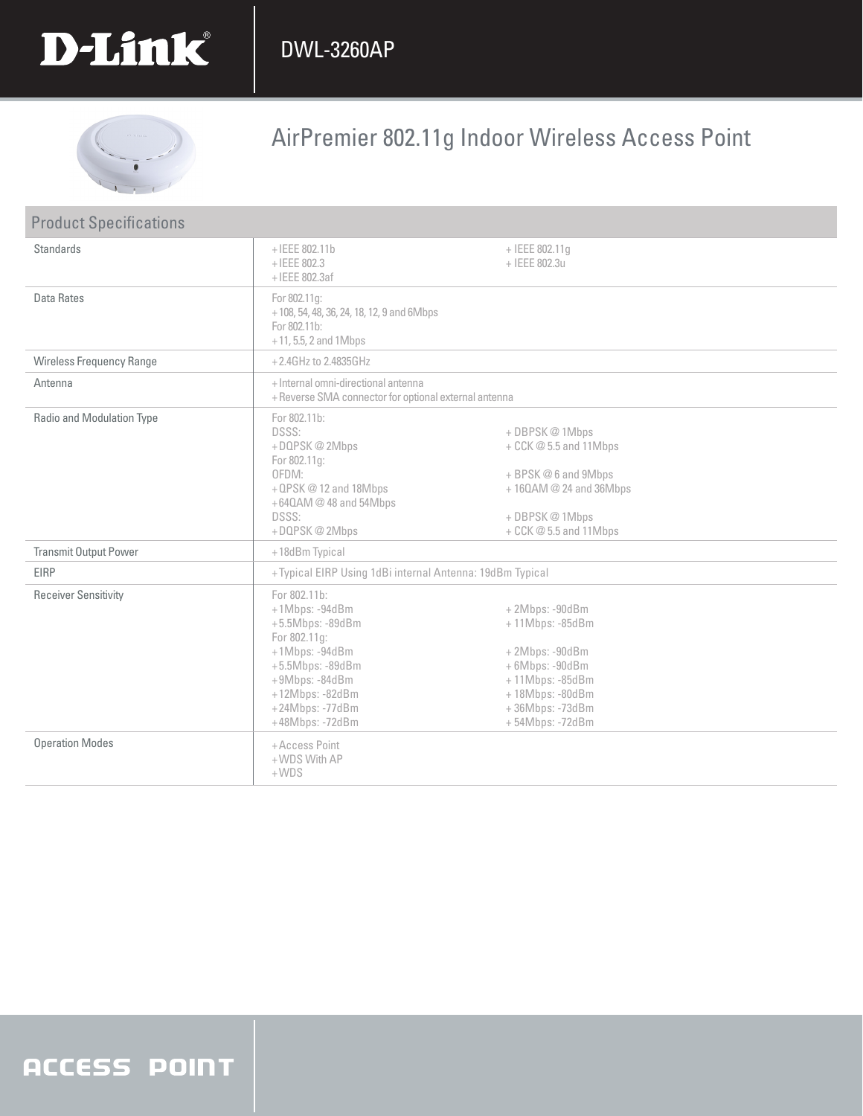



# AirPremier 802.11g Indoor Wireless Access Point

| <b>Product Specifications</b>   |                                                                                                                                                                                        |                                                                                                                                                     |
|---------------------------------|----------------------------------------------------------------------------------------------------------------------------------------------------------------------------------------|-----------------------------------------------------------------------------------------------------------------------------------------------------|
| <b>Standards</b>                | $+$ IEEE 802.11b<br>$+$ IEEE 802.3<br>+IEEE 802.3af                                                                                                                                    | + IEEE 802.11g<br>+ IEEE 802.3u                                                                                                                     |
| Data Rates                      | For 802.11g:<br>+108, 54, 48, 36, 24, 18, 12, 9 and 6Mbps<br>For 802.11b:<br>$+11, 5.5, 2$ and 1Mbps                                                                                   |                                                                                                                                                     |
| <b>Wireless Frequency Range</b> | +2.4GHz to 2.4835GHz                                                                                                                                                                   |                                                                                                                                                     |
| Antenna                         | + Internal omni-directional antenna<br>+ Reverse SMA connector for optional external antenna                                                                                           |                                                                                                                                                     |
| Radio and Modulation Type       | For 802.11b:<br><b>DSSS:</b><br>+DQPSK@2Mbps<br>For 802.11g:<br>OFDM:<br>+QPSK@12 and 18Mbps<br>+64QAM @ 48 and 54Mbps<br><b>DSSS:</b><br>+DQPSK@2Mbps                                 | + DBPSK @ 1Mbps<br>+ CCK @ 5.5 and 11Mbps<br>+ BPSK@6 and 9Mbps<br>+160AM @ 24 and 36Mbps<br>+ DBPSK@1Mbps<br>+ CCK @ 5.5 and 11Mbps                |
| <b>Transmit Output Power</b>    | +18dBm Typical                                                                                                                                                                         |                                                                                                                                                     |
| <b>EIRP</b>                     | +Typical EIRP Using 1dBi internal Antenna: 19dBm Typical                                                                                                                               |                                                                                                                                                     |
| <b>Receiver Sensitivity</b>     | For 802.11b:<br>+1Mbps: -94dBm<br>$+5.5$ Mbps: -89dBm<br>For 802.11g:<br>+1Mbps: -94dBm<br>+5.5Mbps: -89dBm<br>+9Mbps: -84dBm<br>+12Mbps: -82dBm<br>+24Mbps: -77dBm<br>+48Mbps: -72dBm | $+2Mbps: -90dBm$<br>+11Mbps: -85dBm<br>+2Mbps: -90dBm<br>+6Mbps: -90dBm<br>+11Mbps: -85dBm<br>+18Mbps: -80dBm<br>+36Mbps: -73dBm<br>+54Mbps: -72dBm |
| <b>Operation Modes</b>          | +Access Point<br>+WDS With AP<br>$+WDS$                                                                                                                                                |                                                                                                                                                     |

## **ACCESS POINT**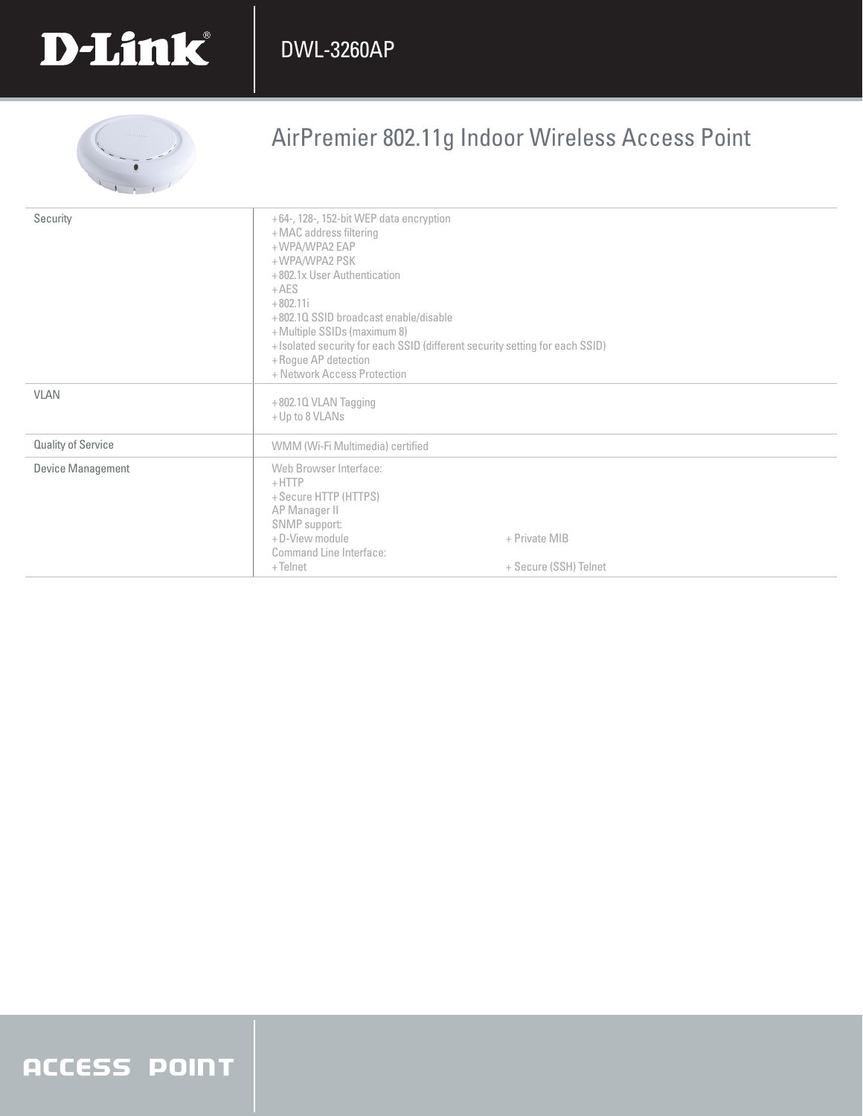

# AirPremier 802.11g Indoor Wireless Access Point

| Security                  | +64-, 128-, 152-bit WEP data encryption<br>+MAC address filtering<br>+WPA/WPA2 EAP<br>+WPA/WPA2 PSK<br>+802.1x User Authentication<br>$+AES$<br>$+802.11i$<br>+802.10 SSID broadcast enable/disable<br>+Multiple SSIDs (maximum 8)<br>+ Isolated security for each SSID (different security setting for each SSID)<br>+ Rogue AP detection<br>+ Network Access Protection |                                        |
|---------------------------|---------------------------------------------------------------------------------------------------------------------------------------------------------------------------------------------------------------------------------------------------------------------------------------------------------------------------------------------------------------------------|----------------------------------------|
| <b>VLAN</b>               | $+802.10$ VLAN Tagging<br>+ Up to 8 VLANs                                                                                                                                                                                                                                                                                                                                 |                                        |
| <b>Quality of Service</b> | WMM (Wi-Fi Multimedia) certified                                                                                                                                                                                                                                                                                                                                          |                                        |
| Device Management         | Web Browser Interface:<br>$+$ HTTP<br>+ Secure HTTP (HTTPS)<br>AP Manager II<br>SNMP support:<br>+D-View module<br>Command Line Interface:<br>$+$ Telnet                                                                                                                                                                                                                  | + Private MIB<br>+ Secure (SSH) Telnet |